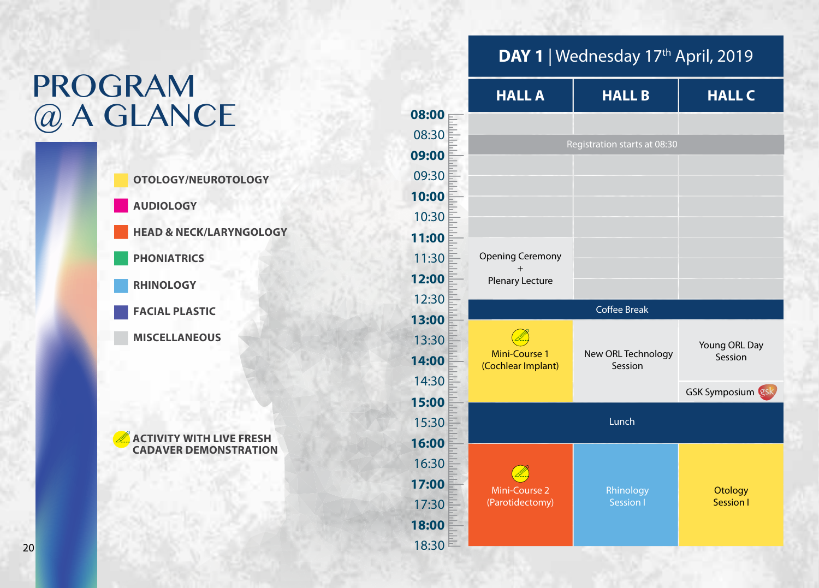## PROGRAM @ A GLANCE